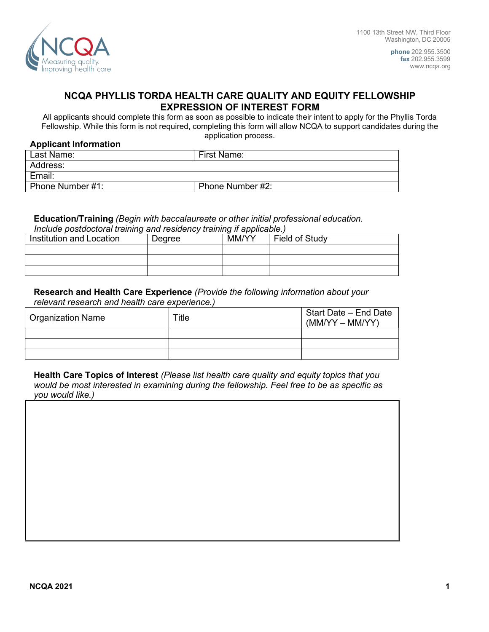

**phone** 202.955.3500 **fax** 202.955.3599 [www.ncqa.org](http://www.ncqa.org/)

# **NCQA PHYLLIS TORDA HEALTH CARE QUALITY AND EQUITY FELLOWSHIP EXPRESSION OF INTEREST FORM**

All applicants should complete this form as soon as possible to indicate their intent to apply for the Phyllis Torda Fellowship. While this form is not required, completing this form will allow NCQA to support candidates during the application process.

### **Applicant Information**

| Last Name:       | First Name:      |
|------------------|------------------|
| Address:         |                  |
| Email:           |                  |
| Phone Number #1: | Phone Number #2: |

#### **Education/Training** *(Begin with baccalaureate or other initial professional education. Include postdoctoral training and residency training if applicable.)*

| <i>molduc postuoctoral training and residency training ir applicable.)</i> |        |       |                |  |  |
|----------------------------------------------------------------------------|--------|-------|----------------|--|--|
| Institution and Location                                                   | Dearee | MM/YY | Field of Study |  |  |
|                                                                            |        |       |                |  |  |
|                                                                            |        |       |                |  |  |
|                                                                            |        |       |                |  |  |

## **Research and Health Care Experience** *(Provide the following information about your relevant research and health care experience.)*

| <sup>⊦</sup> Organization Name | Title | Start Date – End Date<br>$(MM/YY - MM/YY)$ |
|--------------------------------|-------|--------------------------------------------|
|                                |       |                                            |
|                                |       |                                            |
|                                |       |                                            |

**Health Care Topics of Interest** *(Please list health care quality and equity topics that you would be most interested in examining during the fellowship. Feel free to be as specific as you would like.)*